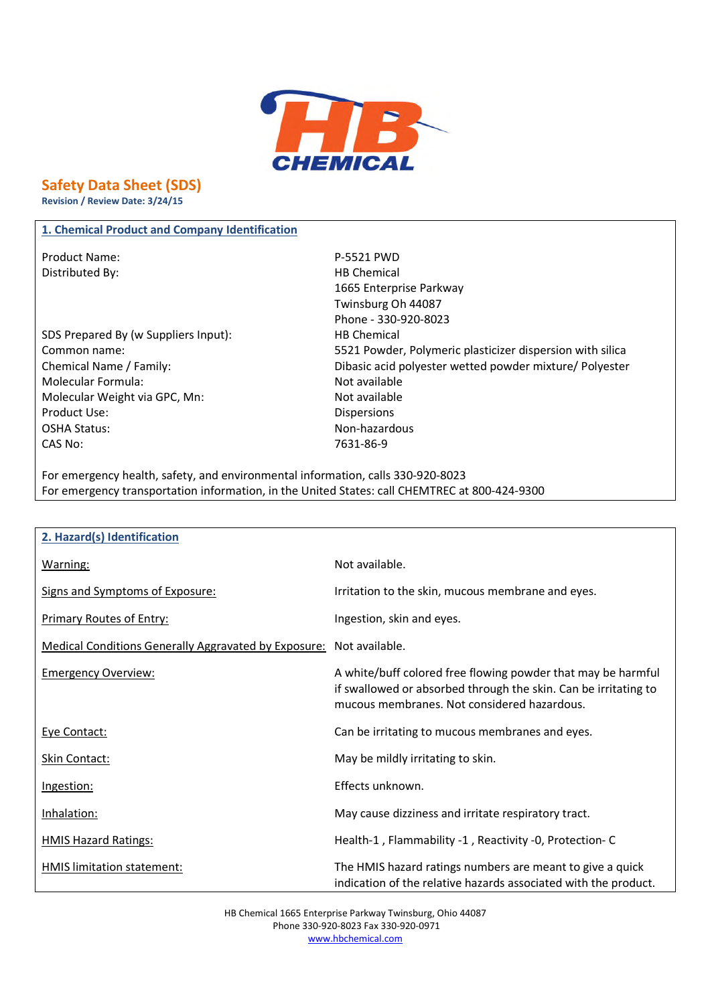

# **Safety Data Sheet (SDS)**

**Revision / Review Date: 3/24/15**

## **1. Chemical Product and Company Identification**

Product Name: P-5521 PWD Distributed By: Notice and Security and Security HB Chemical

- SDS Prepared By (w Suppliers Input): HB Chemical Molecular Formula: Not available Molecular Weight via GPC, Mn: Not available Product Use: 2008 - 2009 - 2009 - 2014 - 2015 - 2016 - 2017 - 2018 - 2019 - 2019 - 2019 - 2019 - 2019 - 2019 - 2019 - 2019 - 2019 - 2019 - 2019 - 2019 - 2019 - 2019 - 2019 - 2019 - 2019 - 2019 - 2019 - 2019 - 2019 - 2019 -OSHA Status: Non-hazardous CAS No: 7631-86-9
- 1665 Enterprise Parkway Twinsburg Oh 44087 Phone - 330-920-8023 Common name: 5521 Powder, Polymeric plasticizer dispersion with silica Chemical Name / Family: Dibasic acid polyester wetted powder mixture/ Polyester

For emergency health, safety, and environmental information, calls 330-920-8023 For emergency transportation information, in the United States: call CHEMTREC at 800-424-9300

| 2. Hazard(s) Identification                                 |                                                                                                                                                                                |
|-------------------------------------------------------------|--------------------------------------------------------------------------------------------------------------------------------------------------------------------------------|
| Warning:                                                    | Not available.                                                                                                                                                                 |
| Signs and Symptoms of Exposure:                             | Irritation to the skin, mucous membrane and eyes.                                                                                                                              |
| <b>Primary Routes of Entry:</b>                             | Ingestion, skin and eyes.                                                                                                                                                      |
| <b>Medical Conditions Generally Aggravated by Exposure:</b> | Not available.                                                                                                                                                                 |
| <b>Emergency Overview:</b>                                  | A white/buff colored free flowing powder that may be harmful<br>if swallowed or absorbed through the skin. Can be irritating to<br>mucous membranes. Not considered hazardous. |
| Eye Contact:                                                | Can be irritating to mucous membranes and eyes.                                                                                                                                |
| Skin Contact:                                               | May be mildly irritating to skin.                                                                                                                                              |
| Ingestion:                                                  | Effects unknown.                                                                                                                                                               |
| Inhalation:                                                 | May cause dizziness and irritate respiratory tract.                                                                                                                            |
| <b>HMIS Hazard Ratings:</b>                                 | Health-1, Flammability -1, Reactivity -0, Protection-C                                                                                                                         |
| HMIS limitation statement:                                  | The HMIS hazard ratings numbers are meant to give a quick<br>indication of the relative hazards associated with the product.                                                   |

HB Chemical 1665 Enterprise Parkway Twinsburg, Ohio 44087 Phone 330-920-8023 Fax 330-920-0971 www.hbchemical.com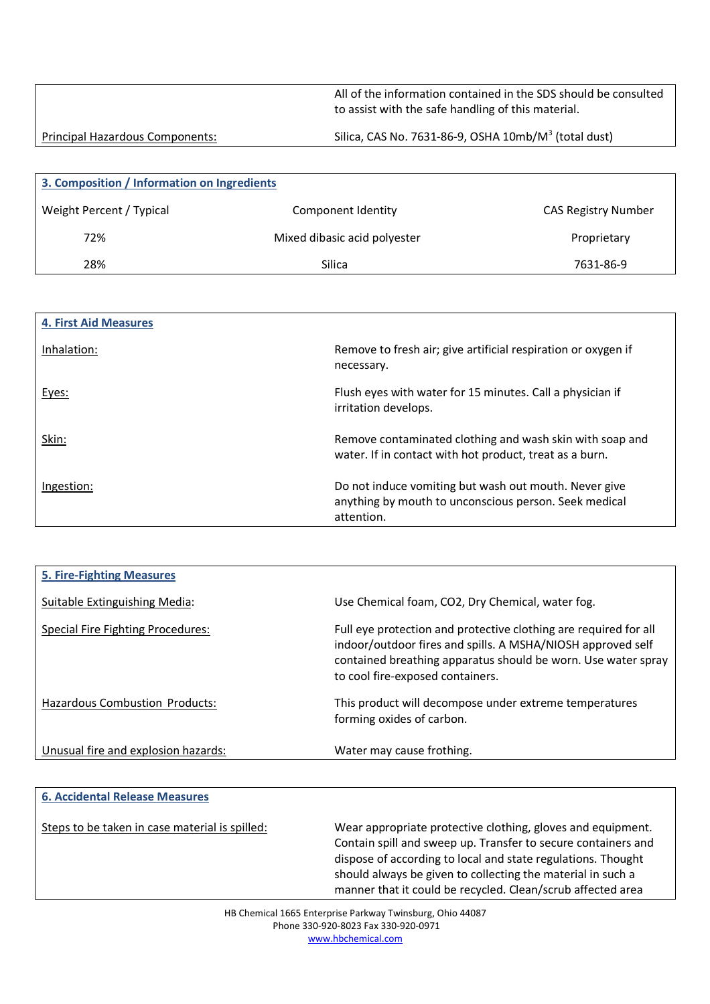All of the information contained in the SDS should be consulted to assist with the safe handling of this material.

Principal Hazardous Components: Silica, CAS No. 7631-86-9, OSHA 10mb/M<sup>3</sup> (total dust)

| 3. Composition / Information on Ingredients |                              |                            |
|---------------------------------------------|------------------------------|----------------------------|
| Weight Percent / Typical                    | Component Identity           | <b>CAS Registry Number</b> |
| 72%                                         | Mixed dibasic acid polyester | Proprietary                |
| 28%                                         | Silica                       | 7631-86-9                  |

| <b>4. First Aid Measures</b> |                                                                                                                              |
|------------------------------|------------------------------------------------------------------------------------------------------------------------------|
| Inhalation:                  | Remove to fresh air; give artificial respiration or oxygen if<br>necessary.                                                  |
| Eyes:                        | Flush eyes with water for 15 minutes. Call a physician if<br>irritation develops.                                            |
| Skin:                        | Remove contaminated clothing and wash skin with soap and<br>water. If in contact with hot product, treat as a burn.          |
| Ingestion:                   | Do not induce vomiting but wash out mouth. Never give<br>anything by mouth to unconscious person. Seek medical<br>attention. |

| <b>5. Fire-Fighting Measures</b>      |                                                                                                                                                                                                                                      |
|---------------------------------------|--------------------------------------------------------------------------------------------------------------------------------------------------------------------------------------------------------------------------------------|
| Suitable Extinguishing Media:         | Use Chemical foam, CO2, Dry Chemical, water fog.                                                                                                                                                                                     |
| Special Fire Fighting Procedures:     | Full eye protection and protective clothing are required for all<br>indoor/outdoor fires and spills. A MSHA/NIOSH approved self<br>contained breathing apparatus should be worn. Use water spray<br>to cool fire-exposed containers. |
| <b>Hazardous Combustion Products:</b> | This product will decompose under extreme temperatures<br>forming oxides of carbon.                                                                                                                                                  |
| Unusual fire and explosion hazards:   | Water may cause frothing.                                                                                                                                                                                                            |

## **6. Accidental Release Measures**

Steps to be taken in case material is spilled: Wear appropriate protective clothing, gloves and equipment. Contain spill and sweep up. Transfer to secure containers and dispose of according to local and state regulations. Thought should always be given to collecting the material in such a manner that it could be recycled. Clean/scrub affected area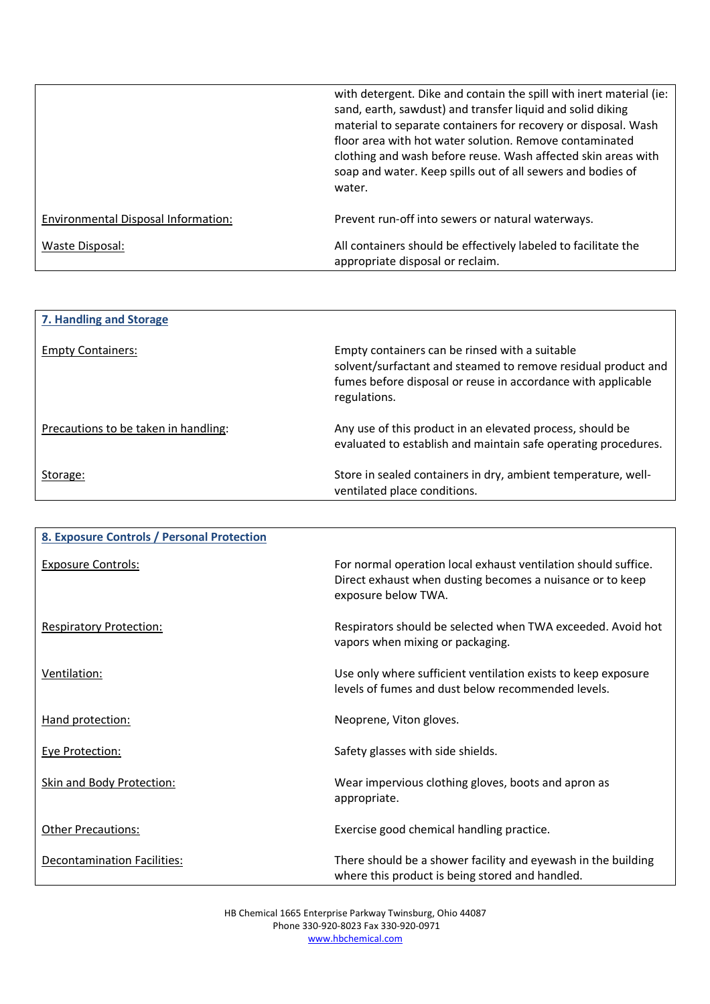|                                     | with detergent. Dike and contain the spill with inert material (ie:<br>sand, earth, sawdust) and transfer liquid and solid diking<br>material to separate containers for recovery or disposal. Wash<br>floor area with hot water solution. Remove contaminated<br>clothing and wash before reuse. Wash affected skin areas with<br>soap and water. Keep spills out of all sewers and bodies of<br>water. |
|-------------------------------------|----------------------------------------------------------------------------------------------------------------------------------------------------------------------------------------------------------------------------------------------------------------------------------------------------------------------------------------------------------------------------------------------------------|
| Environmental Disposal Information: | Prevent run-off into sewers or natural waterways.                                                                                                                                                                                                                                                                                                                                                        |
| Waste Disposal:                     | All containers should be effectively labeled to facilitate the<br>appropriate disposal or reclaim.                                                                                                                                                                                                                                                                                                       |

| 7. Handling and Storage              |                                                                                                                                                                                                 |
|--------------------------------------|-------------------------------------------------------------------------------------------------------------------------------------------------------------------------------------------------|
| <b>Empty Containers:</b>             | Empty containers can be rinsed with a suitable<br>solvent/surfactant and steamed to remove residual product and<br>fumes before disposal or reuse in accordance with applicable<br>regulations. |
| Precautions to be taken in handling: | Any use of this product in an elevated process, should be<br>evaluated to establish and maintain safe operating procedures.                                                                     |
| Storage:                             | Store in sealed containers in dry, ambient temperature, well-<br>ventilated place conditions.                                                                                                   |

| 8. Exposure Controls / Personal Protection |                                                                                                                                                    |
|--------------------------------------------|----------------------------------------------------------------------------------------------------------------------------------------------------|
|                                            |                                                                                                                                                    |
| <b>Exposure Controls:</b>                  | For normal operation local exhaust ventilation should suffice.<br>Direct exhaust when dusting becomes a nuisance or to keep<br>exposure below TWA. |
| <b>Respiratory Protection:</b>             | Respirators should be selected when TWA exceeded. Avoid hot<br>vapors when mixing or packaging.                                                    |
| Ventilation:                               | Use only where sufficient ventilation exists to keep exposure<br>levels of fumes and dust below recommended levels.                                |
| Hand protection:                           | Neoprene, Viton gloves.                                                                                                                            |
| Eye Protection:                            | Safety glasses with side shields.                                                                                                                  |
| <b>Skin and Body Protection:</b>           | Wear impervious clothing gloves, boots and apron as<br>appropriate.                                                                                |
| <b>Other Precautions:</b>                  | Exercise good chemical handling practice.                                                                                                          |
| <b>Decontamination Facilities:</b>         | There should be a shower facility and eyewash in the building<br>where this product is being stored and handled.                                   |

HB Chemical 1665 Enterprise Parkway Twinsburg, Ohio 44087 Phone 330-920-8023 Fax 330-920-0971 www.hbchemical.com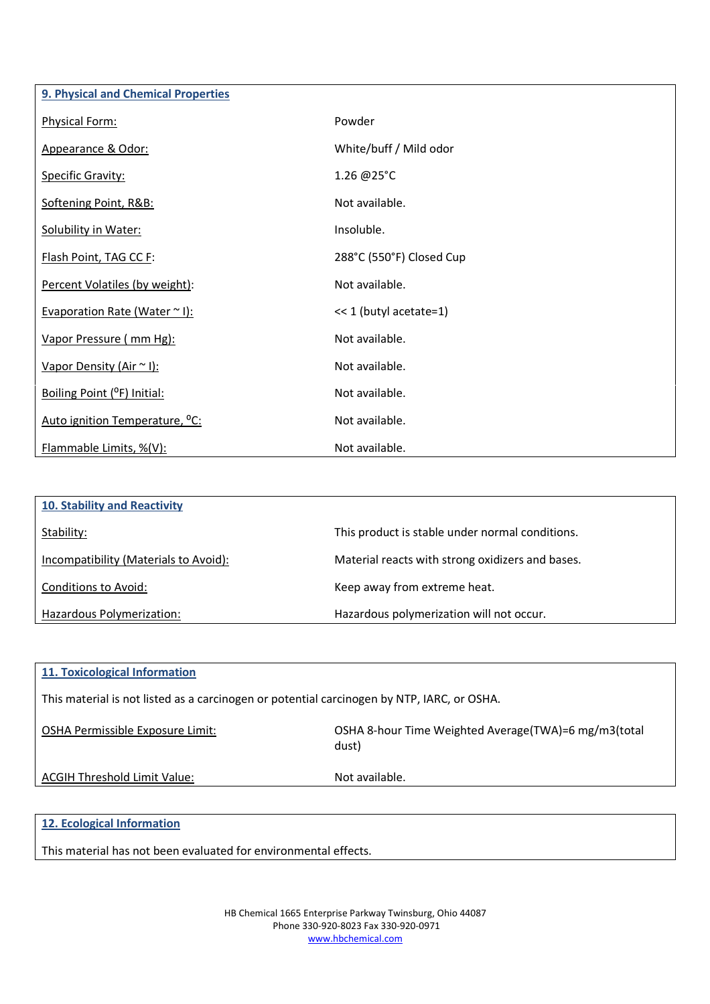| 9. Physical and Chemical Properties        |                          |
|--------------------------------------------|--------------------------|
| Physical Form:                             | Powder                   |
| Appearance & Odor:                         | White/buff / Mild odor   |
| <b>Specific Gravity:</b>                   | 1.26 @25°C               |
| Softening Point, R&B:                      | Not available.           |
| Solubility in Water:                       | Insoluble.               |
| Flash Point, TAG CC F:                     | 288°C (550°F) Closed Cup |
| Percent Volatiles (by weight):             | Not available.           |
| Evaporation Rate (Water ~ I):              | << 1 (butyl acetate=1)   |
| Vapor Pressure (mm Hg):                    | Not available.           |
| Vapor Density (Air ~ I):                   | Not available.           |
| Boiling Point (°F) Initial:                | Not available.           |
| Auto ignition Temperature, <sup>o</sup> C: | Not available.           |
| Flammable Limits, %(V):                    | Not available.           |

| <b>10. Stability and Reactivity</b>   |                                                  |
|---------------------------------------|--------------------------------------------------|
| Stability:                            | This product is stable under normal conditions.  |
| Incompatibility (Materials to Avoid): | Material reacts with strong oxidizers and bases. |
| Conditions to Avoid:                  | Keep away from extreme heat.                     |
| Hazardous Polymerization:             | Hazardous polymerization will not occur.         |

| 11. Toxicological Information                                                              |                                                                 |  |
|--------------------------------------------------------------------------------------------|-----------------------------------------------------------------|--|
| This material is not listed as a carcinogen or potential carcinogen by NTP, IARC, or OSHA. |                                                                 |  |
| OSHA Permissible Exposure Limit:                                                           | OSHA 8-hour Time Weighted Average (TWA)=6 mg/m3 (total<br>dust) |  |
| <b>ACGIH Threshold Limit Value:</b>                                                        | Not available.                                                  |  |
|                                                                                            |                                                                 |  |

# **12. Ecological Information**

This material has not been evaluated for environmental effects.

HB Chemical 1665 Enterprise Parkway Twinsburg, Ohio 44087 Phone 330-920-8023 Fax 330-920-0971 www.hbchemical.com